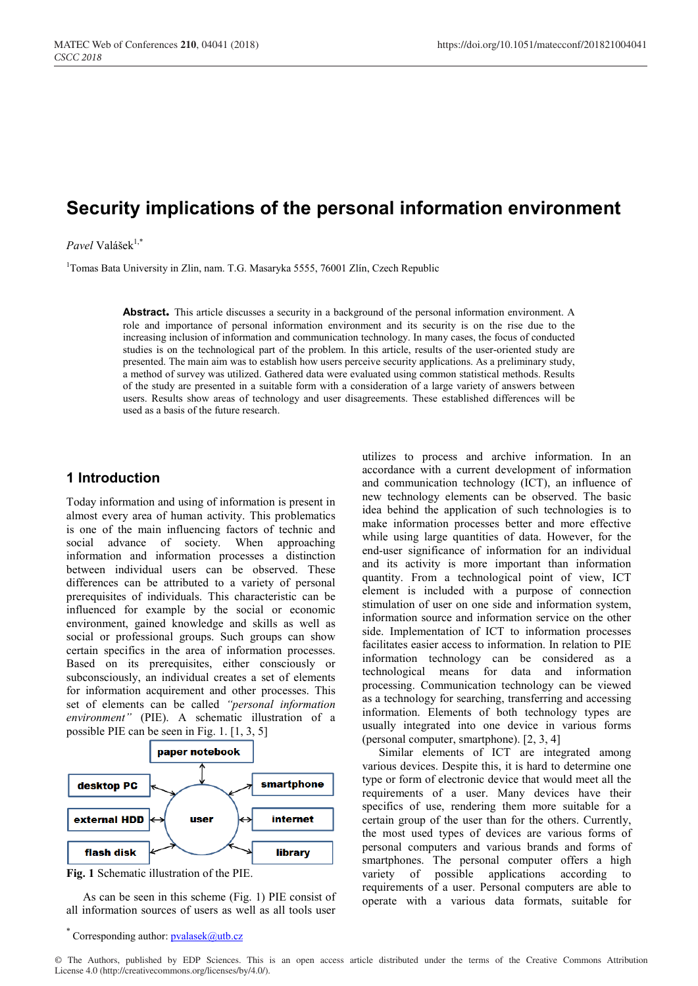# **Security implications of the personal information environment**

Pavel Valášek<sup>1,\*</sup>

<sup>1</sup>Tomas Bata University in Zlin, nam. T.G. Masaryka 5555, 76001 Zlín, Czech Republic

**Abstract.** This article discusses a security in a background of the personal information environment. A role and importance of personal information environment and its security is on the rise due to the increasing inclusion of information and communication technology. In many cases, the focus of conducted studies is on the technological part of the problem. In this article, results of the user-oriented study are presented. The main aim was to establish how users perceive security applications. As a preliminary study, a method of survey was utilized. Gathered data were evaluated using common statistical methods. Results of the study are presented in a suitable form with a consideration of a large variety of answers between users. Results show areas of technology and user disagreements. These established differences will be used as a basis of the future research.

#### **1 Introduction**

Today information and using of information is present in almost every area of human activity. This problematics is one of the main influencing factors of technic and social advance of society. When approaching information and information processes a distinction between individual users can be observed. These differences can be attributed to a variety of personal prerequisites of individuals. This characteristic can be influenced for example by the social or economic environment, gained knowledge and skills as well as social or professional groups. Such groups can show certain specifics in the area of information processes. Based on its prerequisites, either consciously or subconsciously, an individual creates a set of elements for information acquirement and other processes. This set of elements can be called *"personal information environment"* (PIE). A schematic illustration of a possible PIE can be seen in Fig. 1. [1, 3, 5]



**Fig. 1** Schematic illustration of the PIE.

As can be seen in this scheme (Fig. 1) PIE consist of all information sources of users as well as all tools user

utilizes to process and archive information. In an accordance with a current development of information and communication technology (ICT), an influence of new technology elements can be observed. The basic idea behind the application of such technologies is to make information processes better and more effective while using large quantities of data. However, for the end-user significance of information for an individual and its activity is more important than information quantity. From a technological point of view, ICT element is included with a purpose of connection stimulation of user on one side and information system, information source and information service on the other side. Implementation of ICT to information processes facilitates easier access to information. In relation to PIE information technology can be considered as a technological means for data and information processing. Communication technology can be viewed as a technology for searching, transferring and accessing information. Elements of both technology types are usually integrated into one device in various forms (personal computer, smartphone). [2, 3, 4]

Similar elements of ICT are integrated among various devices. Despite this, it is hard to determine one type or form of electronic device that would meet all the requirements of a user. Many devices have their specifics of use, rendering them more suitable for a certain group of the user than for the others. Currently, the most used types of devices are various forms of personal computers and various brands and forms of smartphones. The personal computer offers a high variety of possible applications according to requirements of a user. Personal computers are able to operate with a various data formats, suitable for

<sup>\*</sup> Corresponding author:  $p$ valasek@utb.cz

<sup>©</sup> The Authors, published by EDP Sciences. This is an open access article distributed under the terms of the Creative Commons Attribution License 4.0 (http://creativecommons.org/licenses/by/4.0/).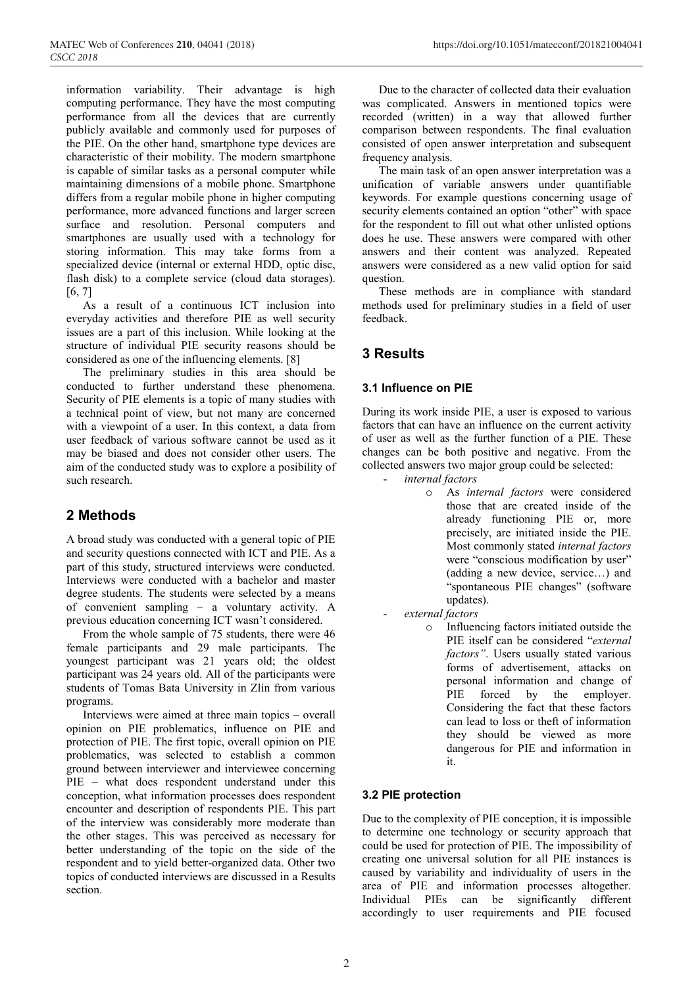information variability. Their advantage is high computing performance. They have the most computing performance from all the devices that are currently publicly available and commonly used for purposes of the PIE. On the other hand, smartphone type devices are characteristic of their mobility. The modern smartphone is capable of similar tasks as a personal computer while maintaining dimensions of a mobile phone. Smartphone differs from a regular mobile phone in higher computing performance, more advanced functions and larger screen surface and resolution. Personal computers and smartphones are usually used with a technology for storing information. This may take forms from a specialized device (internal or external HDD, optic disc, flash disk) to a complete service (cloud data storages). [6, 7]

As a result of a continuous ICT inclusion into everyday activities and therefore PIE as well security issues are a part of this inclusion. While looking at the structure of individual PIE security reasons should be considered as one of the influencing elements. [8]

The preliminary studies in this area should be conducted to further understand these phenomena. Security of PIE elements is a topic of many studies with a technical point of view, but not many are concerned with a viewpoint of a user. In this context, a data from user feedback of various software cannot be used as it may be biased and does not consider other users. The aim of the conducted study was to explore a posibility of such research.

# **2 Methods**

A broad study was conducted with a general topic of PIE and security questions connected with ICT and PIE. As a part of this study, structured interviews were conducted. Interviews were conducted with a bachelor and master degree students. The students were selected by a means of convenient sampling – a voluntary activity. A previous education concerning ICT wasn't considered.

From the whole sample of 75 students, there were 46 female participants and 29 male participants. The youngest participant was 21 years old; the oldest participant was 24 years old. All of the participants were students of Tomas Bata University in Zlín from various programs.

Interviews were aimed at three main topics – overall opinion on PIE problematics, influence on PIE and protection of PIE. The first topic, overall opinion on PIE problematics, was selected to establish a common ground between interviewer and interviewee concerning PIE – what does respondent understand under this conception, what information processes does respondent encounter and description of respondents PIE. This part of the interview was considerably more moderate than the other stages. This was perceived as necessary for better understanding of the topic on the side of the respondent and to yield better-organized data. Other two topics of conducted interviews are discussed in a Results section.

Due to the character of collected data their evaluation was complicated. Answers in mentioned topics were recorded (written) in a way that allowed further comparison between respondents. The final evaluation consisted of open answer interpretation and subsequent frequency analysis.

The main task of an open answer interpretation was a unification of variable answers under quantifiable keywords. For example questions concerning usage of security elements contained an option "other" with space for the respondent to fill out what other unlisted options does he use. These answers were compared with other answers and their content was analyzed. Repeated answers were considered as a new valid option for said question.

These methods are in compliance with standard methods used for preliminary studies in a field of user feedback.

# **3 Results**

## **3.1 Influence on PIE**

During its work inside PIE, a user is exposed to various factors that can have an influence on the current activity of user as well as the further function of a PIE. These changes can be both positive and negative. From the collected answers two major group could be selected:

- *internal factors*
	- o As *internal factors* were considered those that are created inside of the already functioning PIE or, more precisely, are initiated inside the PIE. Most commonly stated *internal factors* were "conscious modification by user" (adding a new device, service…) and "spontaneous PIE changes" (software updates).
- *external factors*
	- o Influencing factors initiated outside the PIE itself can be considered "*external factors"*. Users usually stated various forms of advertisement, attacks on personal information and change of PIE forced by the employer. Considering the fact that these factors can lead to loss or theft of information they should be viewed as more dangerous for PIE and information in it.

## **3.2 PIE protection**

Due to the complexity of PIE conception, it is impossible to determine one technology or security approach that could be used for protection of PIE. The impossibility of creating one universal solution for all PIE instances is caused by variability and individuality of users in the area of PIE and information processes altogether. Individual PIEs can be significantly different accordingly to user requirements and PIE focused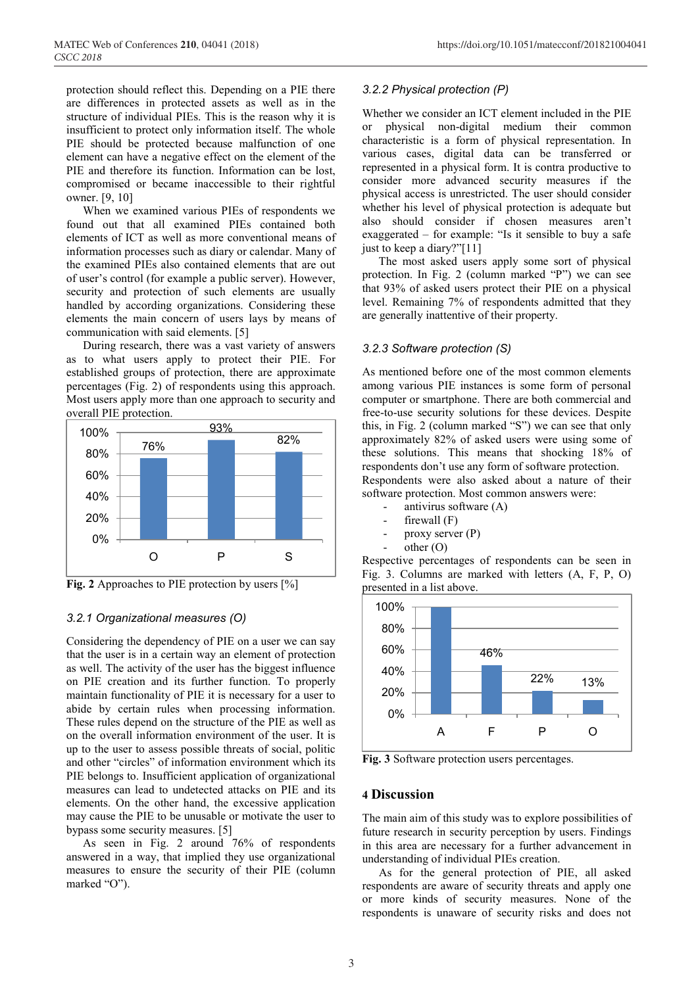protection should reflect this. Depending on a PIE there are differences in protected assets as well as in the structure of individual PIEs. This is the reason why it is insufficient to protect only information itself. The whole PIE should be protected because malfunction of one element can have a negative effect on the element of the PIE and therefore its function. Information can be lost, compromised or became inaccessible to their rightful owner. [9, 10]

When we examined various PIEs of respondents we found out that all examined PIEs contained both elements of ICT as well as more conventional means of information processes such as diary or calendar. Many of the examined PIEs also contained elements that are out of user's control (for example a public server). However, security and protection of such elements are usually handled by according organizations. Considering these elements the main concern of users lays by means of communication with said elements. [5]

During research, there was a vast variety of answers as to what users apply to protect their PIE. For established groups of protection, there are approximate percentages (Fig. 2) of respondents using this approach. Most users apply more than one approach to security and overall PIE protection.



**Fig. 2** Approaches to PIE protection by users [%]

## *3.2.1 Organizational measures (O)*

Considering the dependency of PIE on a user we can say that the user is in a certain way an element of protection as well. The activity of the user has the biggest influence on PIE creation and its further function. To properly maintain functionality of PIE it is necessary for a user to abide by certain rules when processing information. These rules depend on the structure of the PIE as well as on the overall information environment of the user. It is up to the user to assess possible threats of social, politic and other "circles" of information environment which its PIE belongs to. Insufficient application of organizational measures can lead to undetected attacks on PIE and its elements. On the other hand, the excessive application may cause the PIE to be unusable or motivate the user to bypass some security measures. [5]

As seen in Fig. 2 around 76% of respondents answered in a way, that implied they use organizational measures to ensure the security of their PIE (column marked "O").

#### *3.2.2 Physical protection (P)*

Whether we consider an ICT element included in the PIE or physical non-digital medium their common characteristic is a form of physical representation. In various cases, digital data can be transferred or represented in a physical form. It is contra productive to consider more advanced security measures if the physical access is unrestricted. The user should consider whether his level of physical protection is adequate but also should consider if chosen measures aren't exaggerated – for example: "Is it sensible to buy a safe just to keep a diary?"[11]

The most asked users apply some sort of physical protection. In Fig. 2 (column marked "P") we can see that 93% of asked users protect their PIE on a physical level. Remaining 7% of respondents admitted that they are generally inattentive of their property.

#### *3.2.3 Software protection (S)*

As mentioned before one of the most common elements among various PIE instances is some form of personal computer or smartphone. There are both commercial and free-to-use security solutions for these devices. Despite this, in Fig. 2 (column marked "S") we can see that only approximately 82% of asked users were using some of these solutions. This means that shocking 18% of respondents don't use any form of software protection. Respondents were also asked about a nature of their

software protection. Most common answers were:

- antivirus software  $(A)$
- $firewall(F)$
- proxy server (P)
- $-$  other  $(O)$

Respective percentages of respondents can be seen in Fig. 3. Columns are marked with letters (A, F, P, O) presented in a list above.



**Fig. 3** Software protection users percentages.

#### **4 Discussion**

The main aim of this study was to explore possibilities of future research in security perception by users. Findings in this area are necessary for a further advancement in understanding of individual PIEs creation.

As for the general protection of PIE, all asked respondents are aware of security threats and apply one or more kinds of security measures. None of the respondents is unaware of security risks and does not